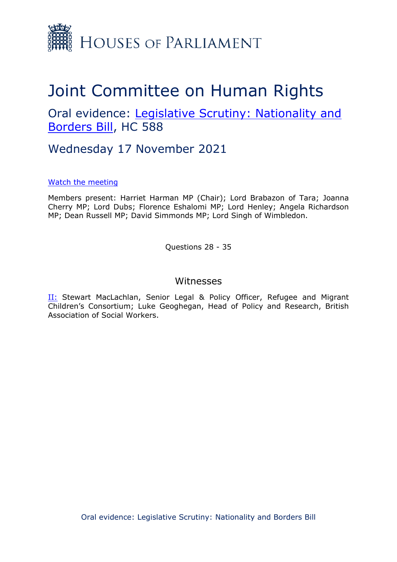

## Joint Committee on Human Rights

Oral evidence: [Legislative](https://committees.parliament.uk/work/1415/legislative-scrutiny-nationality-and-borders-bill/) [Scrutiny:](https://committees.parliament.uk/work/1415/legislative-scrutiny-nationality-and-borders-bill/) [Nationality](https://committees.parliament.uk/work/1415/legislative-scrutiny-nationality-and-borders-bill/) [and](https://committees.parliament.uk/work/1415/legislative-scrutiny-nationality-and-borders-bill/) [Borders](https://committees.parliament.uk/work/1415/legislative-scrutiny-nationality-and-borders-bill/) [Bill,](https://committees.parliament.uk/work/1415/legislative-scrutiny-nationality-and-borders-bill/) HC 588

Wednesday 17 November 2021

## [Watch](https://parliamentlive.tv/event/index/22d9acd5-b724-409e-b3ce-2b4c1455099a?in=15:00:10) [the](https://parliamentlive.tv/event/index/22d9acd5-b724-409e-b3ce-2b4c1455099a?in=15:00:10) [meeting](https://parliamentlive.tv/event/index/22d9acd5-b724-409e-b3ce-2b4c1455099a?in=15:00:10)

Members present: Harriet Harman MP (Chair); Lord Brabazon of Tara; Joanna Cherry MP; Lord Dubs; Florence Eshalomi MP; Lord Henley; Angela Richardson MP; Dean Russell MP; David Simmonds MP; Lord Singh of Wimbledon.

Questions 28 - 35

## Witnesses

II: Stewart MacLachlan, Senior Legal & Policy Officer, Refugee and Migrant Children's Consortium; Luke Geoghegan, Head of Policy and Research, British Association of Social Workers.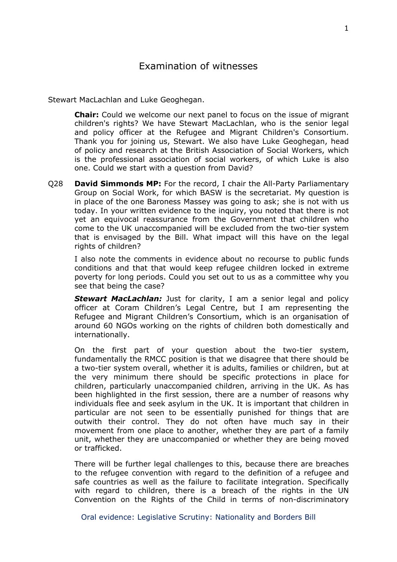Stewart MacLachlan and Luke Geoghegan.

**Chair:** Could we welcome our next panel to focus on the issue of migrant children's rights? We have Stewart MacLachlan, who is the senior legal and policy officer at the Refugee and Migrant Children's Consortium. Thank you for joining us, Stewart. We also have Luke Geoghegan, head of policy and research at the British Association of Social Workers, which is the professional association of social workers, of which Luke is also one. Could we start with a question from David?

Q28 **David Simmonds MP:** For the record, I chair the All-Party Parliamentary Group on Social Work, for which BASW is the secretariat. My question is in place of the one Baroness Massey was going to ask; she is not with us today. In your written evidence to the inquiry, you noted that there is not yet an equivocal reassurance from the Government that children who come to the UK unaccompanied will be excluded from the two-tier system that is envisaged by the Bill. What impact will this have on the legal rights of children?

I also note the comments in evidence about no recourse to public funds conditions and that that would keep refugee children locked in extreme poverty for long periods. Could you set out to us as a committee why you see that being the case?

**Stewart MacLachlan:** Just for clarity, I am a senior legal and policy officer at Coram Children's Legal Centre, but I am representing the Refugee and Migrant Children's Consortium, which is an organisation of around 60 NGOs working on the rights of children both domestically and internationally.

On the first part of your question about the two-tier system, fundamentally the RMCC position is that we disagree that there should be a two-tier system overall, whether it is adults, families or children, but at the very minimum there should be specific protections in place for children, particularly unaccompanied children, arriving in the UK. As has been highlighted in the first session, there are a number of reasons why individuals flee and seek asylum in the UK. It is important that children in particular are not seen to be essentially punished for things that are outwith their control. They do not often have much say in their movement from one place to another, whether they are part of a family unit, whether they are unaccompanied or whether they are being moved or trafficked.

There will be further legal challenges to this, because there are breaches to the refugee convention with regard to the definition of a refugee and safe countries as well as the failure to facilitate integration. Specifically with regard to children, there is a breach of the rights in the UN Convention on the Rights of the Child in terms of non-discriminatory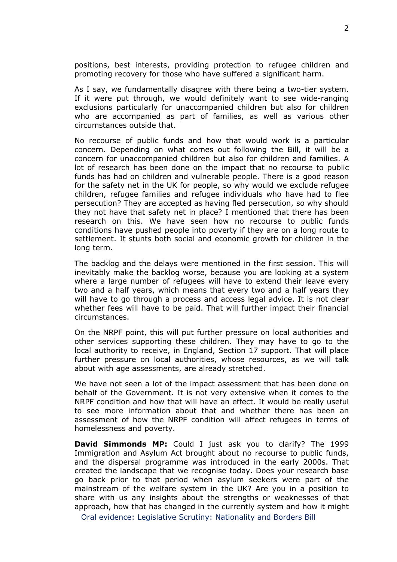positions, best interests, providing protection to refugee children and promoting recovery for those who have suffered a significant harm.

As I say, we fundamentally disagree with there being a two-tier system. If it were put through, we would definitely want to see wide-ranging exclusions particularly for unaccompanied children but also for children who are accompanied as part of families, as well as various other circumstances outside that.

No recourse of public funds and how that would work is a particular concern. Depending on what comes out following the Bill, it will be a concern for unaccompanied children but also for children and families. A lot of research has been done on the impact that no recourse to public funds has had on children and vulnerable people. There is a good reason for the safety net in the UK for people, so why would we exclude refugee children, refugee families and refugee individuals who have had to flee persecution? They are accepted as having fled persecution, so why should they not have that safety net in place? I mentioned that there has been research on this. We have seen how no recourse to public funds conditions have pushed people into poverty if they are on a long route to settlement. It stunts both social and economic growth for children in the long term.

The backlog and the delays were mentioned in the first session. This will inevitably make the backlog worse, because you are looking at a system where a large number of refugees will have to extend their leave every two and a half years, which means that every two and a half years they will have to go through a process and access legal advice. It is not clear whether fees will have to be paid. That will further impact their financial circumstances.

On the NRPF point, this will put further pressure on local authorities and other services supporting these children. They may have to go to the local authority to receive, in England, Section 17 support. That will place further pressure on local authorities, whose resources, as we will talk about with age assessments, are already stretched.

We have not seen a lot of the impact assessment that has been done on behalf of the Government. It is not very extensive when it comes to the NRPF condition and how that will have an effect. It would be really useful to see more information about that and whether there has been an assessment of how the NRPF condition will affect refugees in terms of homelessness and poverty.

**David Simmonds MP:** Could I just ask you to clarify? The 1999 Immigration and Asylum Act brought about no recourse to public funds, and the dispersal programme was introduced in the early 2000s. That created the landscape that we recognise today. Does your research base go back prior to that period when asylum seekers were part of the mainstream of the welfare system in the UK? Are you in a position to share with us any insights about the strengths or weaknesses of that approach, how that has changed in the currently system and how it might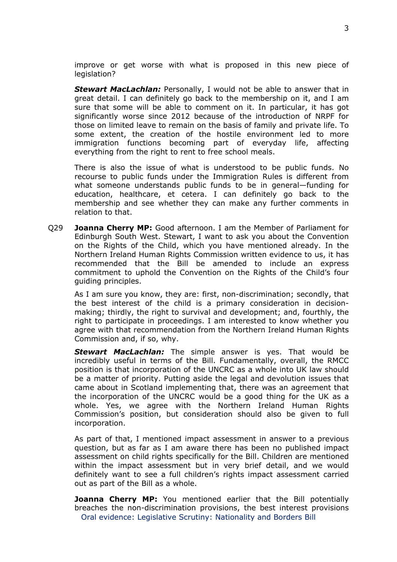improve or get worse with what is proposed in this new piece of legislation?

*Stewart MacLachlan:* Personally, I would not be able to answer that in great detail. I can definitely go back to the membership on it, and I am sure that some will be able to comment on it. In particular, it has got significantly worse since 2012 because of the introduction of NRPF for those on limited leave to remain on the basis of family and private life. To some extent, the creation of the hostile environment led to more immigration functions becoming part of everyday life, affecting everything from the right to rent to free school meals.

There is also the issue of what is understood to be public funds. No recourse to public funds under the Immigration Rules is different from what someone understands public funds to be in general—funding for education, healthcare, et cetera. I can definitely go back to the membership and see whether they can make any further comments in relation to that.

Q29 **Joanna Cherry MP:** Good afternoon. I am the Member of Parliament for Edinburgh South West. Stewart, I want to ask you about the Convention on the Rights of the Child, which you have mentioned already. In the Northern Ireland Human Rights Commission written evidence to us, it has recommended that the Bill be amended to include an express commitment to uphold the Convention on the Rights of the Child's four guiding principles.

As I am sure you know, they are: first, non-discrimination; secondly, that the best interest of the child is a primary consideration in decisionmaking; thirdly, the right to survival and development; and, fourthly, the right to participate in proceedings. I am interested to know whether you agree with that recommendation from the Northern Ireland Human Rights Commission and, if so, why.

*Stewart MacLachlan:* The simple answer is yes. That would be incredibly useful in terms of the Bill. Fundamentally, overall, the RMCC position is that incorporation of the UNCRC as a whole into UK law should be a matter of priority. Putting aside the legal and devolution issues that came about in Scotland implementing that, there was an agreement that the incorporation of the UNCRC would be a good thing for the UK as a whole. Yes, we agree with the Northern Ireland Human Rights Commission's position, but consideration should also be given to full incorporation.

As part of that, I mentioned impact assessment in answer to a previous question, but as far as I am aware there has been no published impact assessment on child rights specifically for the Bill. Children are mentioned within the impact assessment but in very brief detail, and we would definitely want to see a full children's rights impact assessment carried out as part of the Bill as a whole.

Oral evidence: [Legislative](https://committees.parliament.uk/work/765/ministerial-scrutiny-human-rights/) Scrutiny: Nationality and Borders Bill **Joanna Cherry MP:** You mentioned earlier that the Bill potentially breaches the non-discrimination provisions, the best interest provisions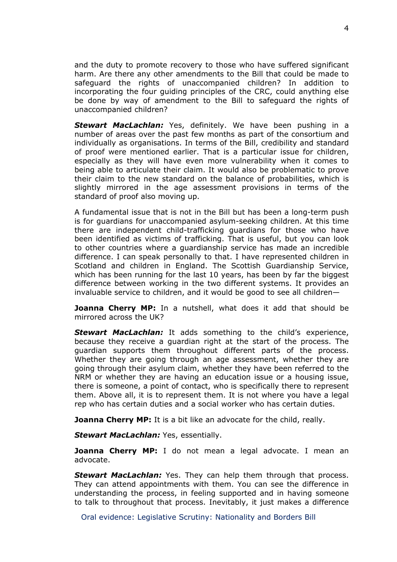and the duty to promote recovery to those who have suffered significant harm. Are there any other amendments to the Bill that could be made to safeguard the rights of unaccompanied children? In addition to incorporating the four guiding principles of the CRC, could anything else be done by way of amendment to the Bill to safeguard the rights of unaccompanied children?

*Stewart MacLachlan:* Yes, definitely. We have been pushing in a number of areas over the past few months as part of the consortium and individually as organisations. In terms of the Bill, credibility and standard of proof were mentioned earlier. That is a particular issue for children, especially as they will have even more vulnerability when it comes to being able to articulate their claim. It would also be problematic to prove their claim to the new standard on the balance of probabilities, which is slightly mirrored in the age assessment provisions in terms of the standard of proof also moving up.

A fundamental issue that is not in the Bill but has been a long-term push is for guardians for unaccompanied asylum-seeking children. At this time there are independent child-trafficking guardians for those who have been identified as victims of trafficking. That is useful, but you can look to other countries where a guardianship service has made an incredible difference. I can speak personally to that. I have represented children in Scotland and children in England. The Scottish Guardianship Service, which has been running for the last 10 years, has been by far the biggest difference between working in the two different systems. It provides an invaluable service to children, and it would be good to see all children—

**Joanna Cherry MP:** In a nutshell, what does it add that should be mirrored across the UK?

*Stewart MacLachlan:* It adds something to the child's experience, because they receive a guardian right at the start of the process. The guardian supports them throughout different parts of the process. Whether they are going through an age assessment, whether they are going through their asylum claim, whether they have been referred to the NRM or whether they are having an education issue or a housing issue, there is someone, a point of contact, who is specifically there to represent them. Above all, it is to represent them. It is not where you have a legal rep who has certain duties and a social worker who has certain duties.

**Joanna Cherry MP:** It is a bit like an advocate for the child, really.

*Stewart MacLachlan:* Yes, essentially.

**Joanna Cherry MP:** I do not mean a legal advocate. I mean an advocate.

*Stewart MacLachlan:* Yes. They can help them through that process. They can attend appointments with them. You can see the difference in understanding the process, in feeling supported and in having someone to talk to throughout that process. Inevitably, it just makes a difference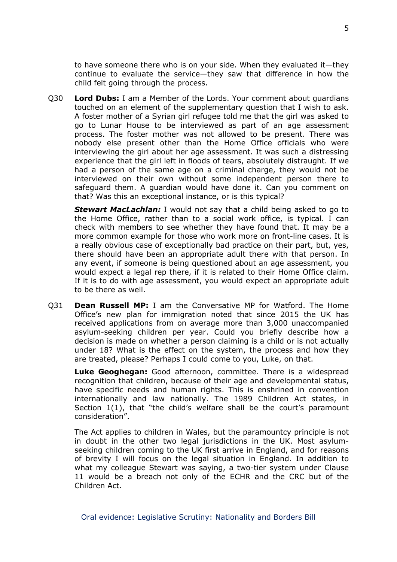to have someone there who is on your side. When they evaluated it—they continue to evaluate the service—they saw that difference in how the child felt going through the process.

Q30 **Lord Dubs:** I am a Member of the Lords. Your comment about guardians touched on an element of the supplementary question that I wish to ask. A foster mother of a Syrian girl refugee told me that the girl was asked to go to Lunar House to be interviewed as part of an age assessment process. The foster mother was not allowed to be present. There was nobody else present other than the Home Office officials who were interviewing the girl about her age assessment. It was such a distressing experience that the girl left in floods of tears, absolutely distraught. If we had a person of the same age on a criminal charge, they would not be interviewed on their own without some independent person there to safeguard them. A guardian would have done it. Can you comment on that? Was this an exceptional instance, or is this typical?

*Stewart MacLachlan:* I would not say that a child being asked to go to the Home Office, rather than to a social work office, is typical. I can check with members to see whether they have found that. It may be a more common example for those who work more on front-line cases. It is a really obvious case of exceptionally bad practice on their part, but, yes, there should have been an appropriate adult there with that person. In any event, if someone is being questioned about an age assessment, you would expect a legal rep there, if it is related to their Home Office claim. If it is to do with age assessment, you would expect an appropriate adult to be there as well.

Q31 **Dean Russell MP:** I am the Conversative MP for Watford. The Home Office's new plan for immigration noted that since 2015 the UK has received applications from on average more than 3,000 unaccompanied asylum-seeking children per year. Could you briefly describe how a decision is made on whether a person claiming is a child or is not actually under 18? What is the effect on the system, the process and how they are treated, please? Perhaps I could come to you, Luke, on that.

**Luke Geoghegan:** Good afternoon, committee. There is a widespread recognition that children, because of their age and developmental status, have specific needs and human rights. This is enshrined in convention internationally and law nationally. The 1989 Children Act states, in Section 1(1), that "the child's welfare shall be the court's paramount consideration".

The Act applies to children in Wales, but the paramountcy principle is not in doubt in the other two legal jurisdictions in the UK. Most asylumseeking children coming to the UK first arrive in England, and for reasons of brevity I will focus on the legal situation in England. In addition to what my colleague Stewart was saying, a two-tier system under Clause 11 would be a breach not only of the ECHR and the CRC but of the Children Act.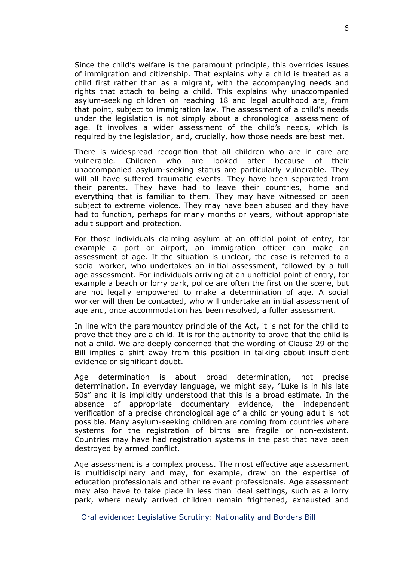Since the child's welfare is the paramount principle, this overrides issues of immigration and citizenship. That explains why a child is treated as a child first rather than as a migrant, with the accompanying needs and rights that attach to being a child. This explains why unaccompanied asylum-seeking children on reaching 18 and legal adulthood are, from that point, subject to immigration law. The assessment of a child's needs under the legislation is not simply about a chronological assessment of age. It involves a wider assessment of the child's needs, which is required by the legislation, and, crucially, how those needs are best met.

There is widespread recognition that all children who are in care are vulnerable. Children who are looked after because of their unaccompanied asylum-seeking status are particularly vulnerable. They will all have suffered traumatic events. They have been separated from their parents. They have had to leave their countries, home and everything that is familiar to them. They may have witnessed or been subject to extreme violence. They may have been abused and they have had to function, perhaps for many months or years, without appropriate adult support and protection.

For those individuals claiming asylum at an official point of entry, for example a port or airport, an immigration officer can make an assessment of age. If the situation is unclear, the case is referred to a social worker, who undertakes an initial assessment, followed by a full age assessment. For individuals arriving at an unofficial point of entry, for example a beach or lorry park, police are often the first on the scene, but are not legally empowered to make a determination of age. A social worker will then be contacted, who will undertake an initial assessment of age and, once accommodation has been resolved, a fuller assessment.

In line with the paramountcy principle of the Act, it is not for the child to prove that they are a child. It is for the authority to prove that the child is not a child. We are deeply concerned that the wording of Clause 29 of the Bill implies a shift away from this position in talking about insufficient evidence or significant doubt.

Age determination is about broad determination, not precise determination. In everyday language, we might say, "Luke is in his late 50s" and it is implicitly understood that this is a broad estimate. In the absence of appropriate documentary evidence, the independent verification of a precise chronological age of a child or young adult is not possible. Many asylum-seeking children are coming from countries where systems for the registration of births are fragile or non-existent. Countries may have had registration systems in the past that have been destroyed by armed conflict.

Age assessment is a complex process. The most effective age assessment is multidisciplinary and may, for example, draw on the expertise of education professionals and other relevant professionals. Age assessment may also have to take place in less than ideal settings, such as a lorry park, where newly arrived children remain frightened, exhausted and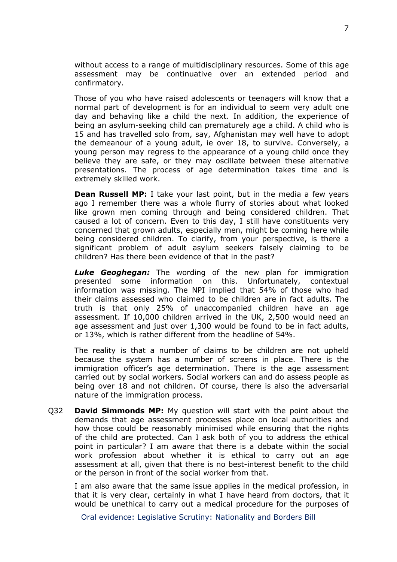without access to a range of multidisciplinary resources. Some of this age assessment may be continuative over an extended period and confirmatory.

Those of you who have raised adolescents or teenagers will know that a normal part of development is for an individual to seem very adult one day and behaving like a child the next. In addition, the experience of being an asylum-seeking child can prematurely age a child. A child who is 15 and has travelled solo from, say, Afghanistan may well have to adopt the demeanour of a young adult, ie over 18, to survive. Conversely, a young person may regress to the appearance of a young child once they believe they are safe, or they may oscillate between these alternative presentations. The process of age determination takes time and is extremely skilled work.

**Dean Russell MP:** I take your last point, but in the media a few years ago I remember there was a whole flurry of stories about what looked like grown men coming through and being considered children. That caused a lot of concern. Even to this day, I still have constituents very concerned that grown adults, especially men, might be coming here while being considered children. To clarify, from your perspective, is there a significant problem of adult asylum seekers falsely claiming to be children? Has there been evidence of that in the past?

*Luke Geoghegan:* The wording of the new plan for immigration presented some information on this. Unfortunately, contextual information was missing. The NPI implied that 54% of those who had their claims assessed who claimed to be children are in fact adults. The truth is that only 25% of unaccompanied children have an age assessment. If 10,000 children arrived in the UK, 2,500 would need an age assessment and just over 1,300 would be found to be in fact adults, or 13%, which is rather different from the headline of 54%.

The reality is that a number of claims to be children are not upheld because the system has a number of screens in place. There is the immigration officer's age determination. There is the age assessment carried out by social workers. Social workers can and do assess people as being over 18 and not children. Of course, there is also the adversarial nature of the immigration process.

Q32 **David Simmonds MP:** My question will start with the point about the demands that age assessment processes place on local authorities and how those could be reasonably minimised while ensuring that the rights of the child are protected. Can I ask both of you to address the ethical point in particular? I am aware that there is a debate within the social work profession about whether it is ethical to carry out an age assessment at all, given that there is no best-interest benefit to the child or the person in front of the social worker from that.

I am also aware that the same issue applies in the medical profession, in that it is very clear, certainly in what I have heard from doctors, that it would be unethical to carry out a medical procedure for the purposes of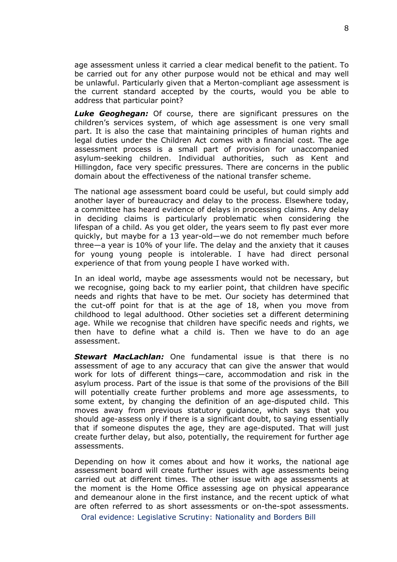age assessment unless it carried a clear medical benefit to the patient. To be carried out for any other purpose would not be ethical and may well be unlawful. Particularly given that a Merton-compliant age assessment is the current standard accepted by the courts, would you be able to address that particular point?

*Luke Geoghegan:* Of course, there are significant pressures on the children's services system, of which age assessment is one very small part. It is also the case that maintaining principles of human rights and legal duties under the Children Act comes with a financial cost. The age assessment process is a small part of provision for unaccompanied asylum-seeking children. Individual authorities, such as Kent and Hillingdon, face very specific pressures. There are concerns in the public domain about the effectiveness of the national transfer scheme.

The national age assessment board could be useful, but could simply add another layer of bureaucracy and delay to the process. Elsewhere today, a committee has heard evidence of delays in processing claims. Any delay in deciding claims is particularly problematic when considering the lifespan of a child. As you get older, the years seem to fly past ever more quickly, but maybe for a 13 year-old—we do not remember much before three—a year is 10% of your life. The delay and the anxiety that it causes for young young people is intolerable. I have had direct personal experience of that from young people I have worked with.

In an ideal world, maybe age assessments would not be necessary, but we recognise, going back to my earlier point, that children have specific needs and rights that have to be met. Our society has determined that the cut-off point for that is at the age of 18, when you move from childhood to legal adulthood. Other societies set a different determining age. While we recognise that children have specific needs and rights, we then have to define what a child is. Then we have to do an age assessment.

*Stewart MacLachlan:* One fundamental issue is that there is no assessment of age to any accuracy that can give the answer that would work for lots of different things—care, accommodation and risk in the asylum process. Part of the issue is that some of the provisions of the Bill will potentially create further problems and more age assessments, to some extent, by changing the definition of an age-disputed child. This moves away from previous statutory guidance, which says that you should age-assess only if there is a significant doubt, to saying essentially that if someone disputes the age, they are age-disputed. That will just create further delay, but also, potentially, the requirement for further age assessments.

Depending on how it comes about and how it works, the national age assessment board will create further issues with age assessments being carried out at different times. The other issue with age assessments at the moment is the Home Office assessing age on physical appearance and demeanour alone in the first instance, and the recent uptick of what are often referred to as short assessments or on-the-spot assessments.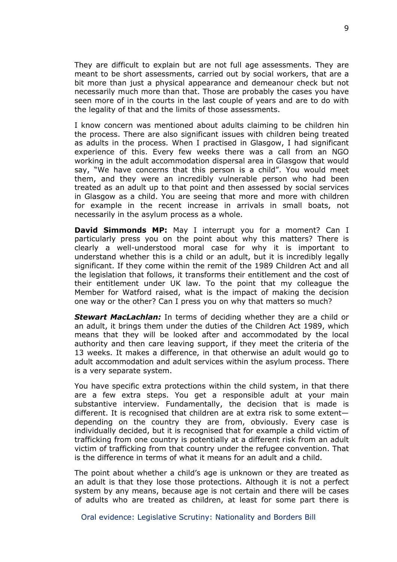They are difficult to explain but are not full age assessments. They are meant to be short assessments, carried out by social workers, that are a bit more than just a physical appearance and demeanour check but not necessarily much more than that. Those are probably the cases you have seen more of in the courts in the last couple of years and are to do with the legality of that and the limits of those assessments.

I know concern was mentioned about adults claiming to be children hin the process. There are also significant issues with children being treated as adults in the process. When I practised in Glasgow, I had significant experience of this. Every few weeks there was a call from an NGO working in the adult accommodation dispersal area in Glasgow that would say, "We have concerns that this person is a child". You would meet them, and they were an incredibly vulnerable person who had been treated as an adult up to that point and then assessed by social services in Glasgow as a child. You are seeing that more and more with children for example in the recent increase in arrivals in small boats, not necessarily in the asylum process as a whole.

**David Simmonds MP:** May I interrupt you for a moment? Can I particularly press you on the point about why this matters? There is clearly a well-understood moral case for why it is important to understand whether this is a child or an adult, but it is incredibly legally significant. If they come within the remit of the 1989 Children Act and all the legislation that follows, it transforms their entitlement and the cost of their entitlement under UK law. To the point that my colleague the Member for Watford raised, what is the impact of making the decision one way or the other? Can I press you on why that matters so much?

*Stewart MacLachlan:* In terms of deciding whether they are a child or an adult, it brings them under the duties of the Children Act 1989, which means that they will be looked after and accommodated by the local authority and then care leaving support, if they meet the criteria of the 13 weeks. It makes a difference, in that otherwise an adult would go to adult accommodation and adult services within the asylum process. There is a very separate system.

You have specific extra protections within the child system, in that there are a few extra steps. You get a responsible adult at your main substantive interview. Fundamentally, the decision that is made is different. It is recognised that children are at extra risk to some extent depending on the country they are from, obviously. Every case is individually decided, but it is recognised that for example a child victim of trafficking from one country is potentially at a different risk from an adult victim of trafficking from that country under the refugee convention. That is the difference in terms of what it means for an adult and a child.

The point about whether a child's age is unknown or they are treated as an adult is that they lose those protections. Although it is not a perfect system by any means, because age is not certain and there will be cases of adults who are treated as children, at least for some part there is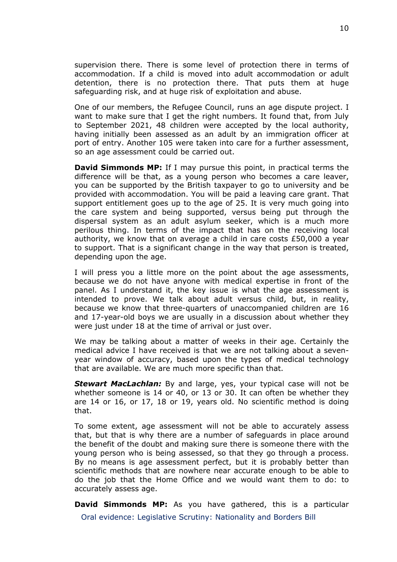supervision there. There is some level of protection there in terms of accommodation. If a child is moved into adult accommodation or adult detention, there is no protection there. That puts them at huge safeguarding risk, and at huge risk of exploitation and abuse.

One of our members, the Refugee Council, runs an age dispute project. I want to make sure that I get the right numbers. It found that, from July to September 2021, 48 children were accepted by the local authority, having initially been assessed as an adult by an immigration officer at port of entry. Another 105 were taken into care for a further assessment, so an age assessment could be carried out.

**David Simmonds MP:** If I may pursue this point, in practical terms the difference will be that, as a young person who becomes a care leaver, you can be supported by the British taxpayer to go to university and be provided with accommodation. You will be paid a leaving care grant. That support entitlement goes up to the age of 25. It is very much going into the care system and being supported, versus being put through the dispersal system as an adult asylum seeker, which is a much more perilous thing. In terms of the impact that has on the receiving local authority, we know that on average a child in care costs £50,000 a year to support. That is a significant change in the way that person is treated, depending upon the age.

I will press you a little more on the point about the age assessments, because we do not have anyone with medical expertise in front of the panel. As I understand it, the key issue is what the age assessment is intended to prove. We talk about adult versus child, but, in reality, because we know that three-quarters of unaccompanied children are 16 and 17-year-old boys we are usually in a discussion about whether they were just under 18 at the time of arrival or just over.

We may be talking about a matter of weeks in their age. Certainly the medical advice I have received is that we are not talking about a sevenyear window of accuracy, based upon the types of medical technology that are available. We are much more specific than that.

*Stewart MacLachlan:* By and large, yes, your typical case will not be whether someone is 14 or 40, or 13 or 30. It can often be whether they are 14 or 16, or 17, 18 or 19, years old. No scientific method is doing that.

To some extent, age assessment will not be able to accurately assess that, but that is why there are a number of safeguards in place around the benefit of the doubt and making sure there is someone there with the young person who is being assessed, so that they go through a process. By no means is age assessment perfect, but it is probably better than scientific methods that are nowhere near accurate enough to be able to do the job that the Home Office and we would want them to do: to accurately assess age.

Oral evidence: [Legislative](https://committees.parliament.uk/work/765/ministerial-scrutiny-human-rights/) Scrutiny: Nationality and Borders Bill **David Simmonds MP:** As you have gathered, this is a particular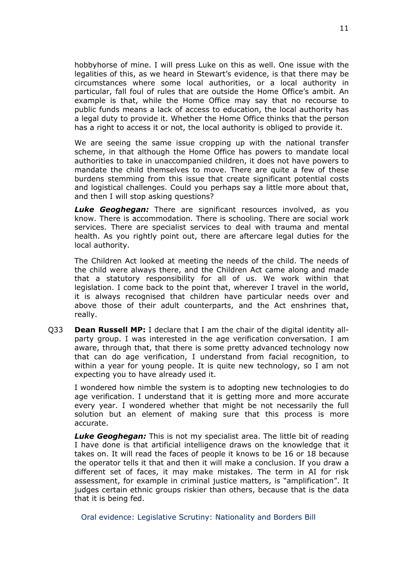hobbyhorse of mine. I will press Luke on this as well. One issue with the legalities of this, as we heard in Stewart's evidence, is that there may be circumstances where some local authorities, or a local authority in particular, fall foul of rules that are outside the Home Office's ambit. An example is that, while the Home Office may say that no recourse to public funds means a lack of access to education, the local authority has a legal duty to provide it. Whether the Home Office thinks that the person has a right to access it or not, the local authority is obliged to provide it.

We are seeing the same issue cropping up with the national transfer scheme, in that although the Home Office has powers to mandate local authorities to take in unaccompanied children, it does not have powers to mandate the child themselves to move. There are quite a few of these burdens stemming from this issue that create significant potential costs and logistical challenges. Could you perhaps say a little more about that, and then I will stop asking questions?

*Luke Geoghegan:* There are significant resources involved, as you know. There is accommodation. There is schooling. There are social work services. There are specialist services to deal with trauma and mental health. As you rightly point out, there are aftercare legal duties for the local authority.

The Children Act looked at meeting the needs of the child. The needs of the child were always there, and the Children Act came along and made that a statutory responsibility for all of us. We work within that legislation. I come back to the point that, wherever I travel in the world, it is always recognised that children have particular needs over and above those of their adult counterparts, and the Act enshrines that, really.

Q33 **Dean Russell MP:** I declare that I am the chair of the digital identity allparty group. I was interested in the age verification conversation. I am aware, through that, that there is some pretty advanced technology now that can do age verification, I understand from facial recognition, to within a year for young people. It is quite new technology, so I am not expecting you to have already used it.

I wondered how nimble the system is to adopting new technologies to do age verification. I understand that it is getting more and more accurate every year. I wondered whether that might be not necessarily the full solution but an element of making sure that this process is more accurate.

*Luke Geoghegan:* This is not my specialist area. The little bit of reading I have done is that artificial intelligence draws on the knowledge that it takes on. It will read the faces of people it knows to be 16 or 18 because the operator tells it that and then it will make a conclusion. If you draw a different set of faces, it may make mistakes. The term in AI for risk assessment, for example in criminal justice matters, is "amplification". It judges certain ethnic groups riskier than others, because that is the data that it is being fed.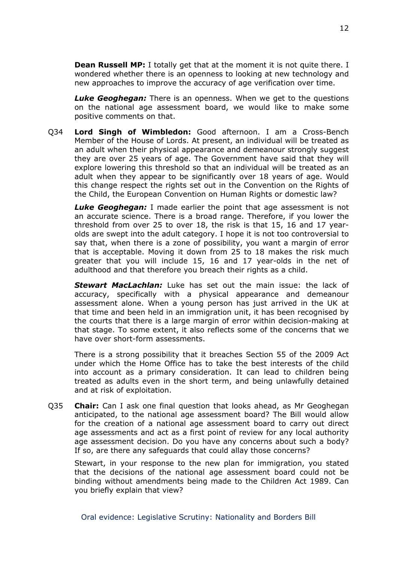**Dean Russell MP:** I totally get that at the moment it is not quite there. I wondered whether there is an openness to looking at new technology and new approaches to improve the accuracy of age verification over time.

*Luke Geoghegan:* There is an openness. When we get to the questions on the national age assessment board, we would like to make some positive comments on that.

Q34 **Lord Singh of Wimbledon:** Good afternoon. I am a Cross-Bench Member of the House of Lords. At present, an individual will be treated as an adult when their physical appearance and demeanour strongly suggest they are over 25 years of age. The Government have said that they will explore lowering this threshold so that an individual will be treated as an adult when they appear to be significantly over 18 years of age. Would this change respect the rights set out in the Convention on the Rights of the Child, the European Convention on Human Rights or domestic law?

*Luke Geoghegan:* I made earlier the point that age assessment is not an accurate science. There is a broad range. Therefore, if you lower the threshold from over 25 to over 18, the risk is that 15, 16 and 17 yearolds are swept into the adult category. I hope it is not too controversial to say that, when there is a zone of possibility, you want a margin of error that is acceptable. Moving it down from 25 to 18 makes the risk much greater that you will include 15, 16 and 17 year-olds in the net of adulthood and that therefore you breach their rights as a child.

*Stewart MacLachlan:* Luke has set out the main issue: the lack of accuracy, specifically with a physical appearance and demeanour assessment alone. When a young person has just arrived in the UK at that time and been held in an immigration unit, it has been recognised by the courts that there is a large margin of error within decision-making at that stage. To some extent, it also reflects some of the concerns that we have over short-form assessments.

There is a strong possibility that it breaches Section 55 of the 2009 Act under which the Home Office has to take the best interests of the child into account as a primary consideration. It can lead to children being treated as adults even in the short term, and being unlawfully detained and at risk of exploitation.

Q35 **Chair:** Can I ask one final question that looks ahead, as Mr Geoghegan anticipated, to the national age assessment board? The Bill would allow for the creation of a national age assessment board to carry out direct age assessments and act as a first point of review for any local authority age assessment decision. Do you have any concerns about such a body? If so, are there any safeguards that could allay those concerns?

Stewart, in your response to the new plan for immigration, you stated that the decisions of the national age assessment board could not be binding without amendments being made to the Children Act 1989. Can you briefly explain that view?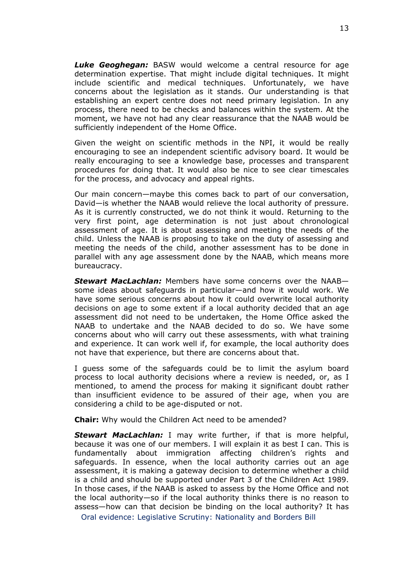*Luke Geoghegan:* BASW would welcome a central resource for age determination expertise. That might include digital techniques. It might include scientific and medical techniques. Unfortunately, we have concerns about the legislation as it stands. Our understanding is that establishing an expert centre does not need primary legislation. In any process, there need to be checks and balances within the system. At the moment, we have not had any clear reassurance that the NAAB would be sufficiently independent of the Home Office.

Given the weight on scientific methods in the NPI, it would be really encouraging to see an independent scientific advisory board. It would be really encouraging to see a knowledge base, processes and transparent procedures for doing that. It would also be nice to see clear timescales for the process, and advocacy and appeal rights.

Our main concern—maybe this comes back to part of our conversation, David—is whether the NAAB would relieve the local authority of pressure. As it is currently constructed, we do not think it would. Returning to the very first point, age determination is not just about chronological assessment of age. It is about assessing and meeting the needs of the child. Unless the NAAB is proposing to take on the duty of assessing and meeting the needs of the child, another assessment has to be done in parallel with any age assessment done by the NAAB, which means more bureaucracy.

*Stewart MacLachlan:* Members have some concerns over the NAAB some ideas about safeguards in particular—and how it would work. We have some serious concerns about how it could overwrite local authority decisions on age to some extent if a local authority decided that an age assessment did not need to be undertaken, the Home Office asked the NAAB to undertake and the NAAB decided to do so. We have some concerns about who will carry out these assessments, with what training and experience. It can work well if, for example, the local authority does not have that experience, but there are concerns about that.

I guess some of the safeguards could be to limit the asylum board process to local authority decisions where a review is needed, or, as I mentioned, to amend the process for making it significant doubt rather than insufficient evidence to be assured of their age, when you are considering a child to be age-disputed or not.

**Chair:** Why would the Children Act need to be amended?

*Stewart MacLachlan:* I may write further, if that is more helpful, because it was one of our members. I will explain it as best I can. This is fundamentally about immigration affecting children's rights and safeguards. In essence, when the local authority carries out an age assessment, it is making a gateway decision to determine whether a child is a child and should be supported under Part 3 of the Children Act 1989. In those cases, if the NAAB is asked to assess by the Home Office and not the local authority—so if the local authority thinks there is no reason to assess—how can that decision be binding on the local authority? It has